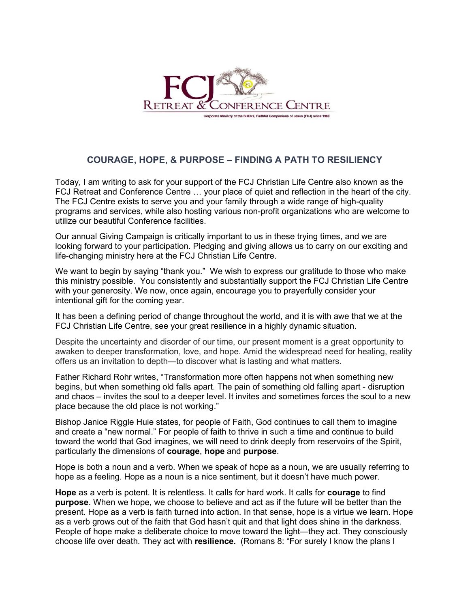

## COURAGE, HOPE, & PURPOSE – FINDING A PATH TO RESILIENCY

Today, I am writing to ask for your support of the FCJ Christian Life Centre also known as the FCJ Retreat and Conference Centre … your place of quiet and reflection in the heart of the city. The FCJ Centre exists to serve you and your family through a wide range of high-quality programs and services, while also hosting various non-profit organizations who are welcome to utilize our beautiful Conference facilities.

Our annual Giving Campaign is critically important to us in these trying times, and we are looking forward to your participation. Pledging and giving allows us to carry on our exciting and life-changing ministry here at the FCJ Christian Life Centre.

We want to begin by saying "thank you." We wish to express our gratitude to those who make this ministry possible. You consistently and substantially support the FCJ Christian Life Centre with your generosity. We now, once again, encourage you to prayerfully consider your intentional gift for the coming year.

It has been a defining period of change throughout the world, and it is with awe that we at the FCJ Christian Life Centre, see your great resilience in a highly dynamic situation.

Despite the uncertainty and disorder of our time, our present moment is a great opportunity to awaken to deeper transformation, love, and hope. Amid the widespread need for healing, reality offers us an invitation to depth—to discover what is lasting and what matters.

Father Richard Rohr writes, "Transformation more often happens not when something new begins, but when something old falls apart. The pain of something old falling apart - disruption and chaos – invites the soul to a deeper level. It invites and sometimes forces the soul to a new place because the old place is not working."

Bishop Janice Riggle Huie states, for people of Faith, God continues to call them to imagine and create a "new normal." For people of faith to thrive in such a time and continue to build toward the world that God imagines, we will need to drink deeply from reservoirs of the Spirit, particularly the dimensions of courage, hope and purpose.

Hope is both a noun and a verb. When we speak of hope as a noun, we are usually referring to hope as a feeling. Hope as a noun is a nice sentiment, but it doesn't have much power.

Hope as a verb is potent. It is relentless. It calls for hard work. It calls for courage to find purpose. When we hope, we choose to believe and act as if the future will be better than the present. Hope as a verb is faith turned into action. In that sense, hope is a virtue we learn. Hope as a verb grows out of the faith that God hasn't quit and that light does shine in the darkness. People of hope make a deliberate choice to move toward the light—they act. They consciously choose life over death. They act with resilience. (Romans 8: "For surely I know the plans I